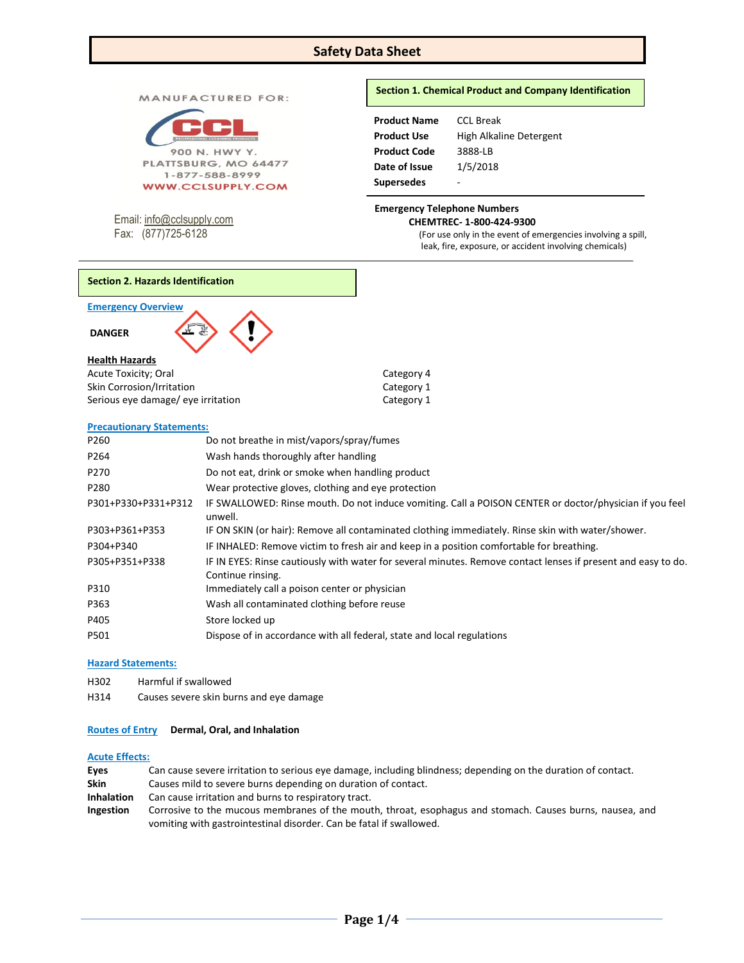# **Safety Data Sheet**

MANUFACTURED FOR:



1-877-588-8999 **WWW.CCLSUPPLY.COM** 

Email: [info@cclsupply.com](mailto:info@cclsupply.com) Fax: (877)725-6128

# **Section 1. Chemical Product and Company Identification**

| <b>Product Name</b> | CCL Break               |
|---------------------|-------------------------|
| <b>Product Use</b>  | High Alkaline Detergent |
| <b>Product Code</b> | 3888-LB                 |
| Date of Issue       | 1/5/2018                |
| <b>Supersedes</b>   | -                       |

## **Emergency Telephone Numbers CHEMTREC- 1-800-424-9300**

(For use only in the event of emergencies involving a spill, leak, fire, exposure, or accident involving chemicals)

**Emergency Overview** 

**DANGER** 

### **Health Hazards**

| Acute Toxicity; Oral               | Category 4 |
|------------------------------------|------------|
| <b>Skin Corrosion/Irritation</b>   | Category 1 |
| Serious eye damage/ eye irritation | Category 1 |

### **Precautionary Statements:**

| P260                | Do not breathe in mist/vapors/spray/fumes                                                                                          |
|---------------------|------------------------------------------------------------------------------------------------------------------------------------|
| P <sub>264</sub>    | Wash hands thoroughly after handling                                                                                               |
| P270                | Do not eat, drink or smoke when handling product                                                                                   |
| P280                | Wear protective gloves, clothing and eye protection                                                                                |
| P301+P330+P331+P312 | IF SWALLOWED: Rinse mouth. Do not induce vomiting. Call a POISON CENTER or doctor/physician if you feel<br>unwell.                 |
| P303+P361+P353      | IF ON SKIN (or hair): Remove all contaminated clothing immediately. Rinse skin with water/shower.                                  |
| P304+P340           | IF INHALED: Remove victim to fresh air and keep in a position comfortable for breathing.                                           |
| P305+P351+P338      | IF IN EYES: Rinse cautiously with water for several minutes. Remove contact lenses if present and easy to do.<br>Continue rinsing. |
| P310                | Immediately call a poison center or physician                                                                                      |
| P363                | Wash all contaminated clothing before reuse                                                                                        |
| P405                | Store locked up                                                                                                                    |
| P501                | Dispose of in accordance with all federal, state and local regulations                                                             |

## **Hazard Statements:**

- H302 Harmful if swallowed
- H314 Causes severe skin burns and eye damage

### **Routes of Entry Dermal, Oral, and Inhalation**

# **Acute Effects:**

| Eyes              | Can cause severe irritation to serious eye damage, including blindness; depending on the duration of contact. |
|-------------------|---------------------------------------------------------------------------------------------------------------|
| <b>Skin</b>       | Causes mild to severe burns depending on duration of contact.                                                 |
| <b>Inhalation</b> | Can cause irritation and burns to respiratory tract.                                                          |
| <b>Ingestion</b>  | Corrosive to the mucous membranes of the mouth, throat, esophagus and stomach. Causes burns, nausea, and      |
|                   | vomiting with gastrointestinal disorder. Can be fatal if swallowed.                                           |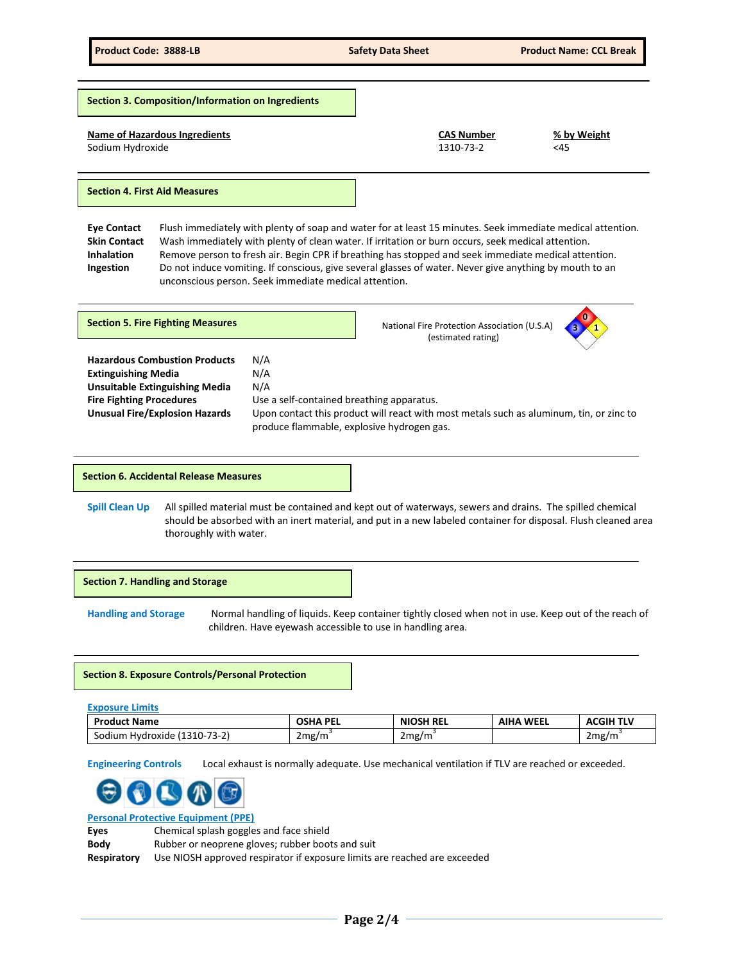**Section 3. Composition/Information on Ingredients**

## **Name of Hazardous Ingredients CAS Number % by Weight**

Sodium Hydroxide 1310-73-2 <45

## **Section 4. First Aid Measures**

**Eye Contact** Flush immediately with plenty of soap and water for at least 15 minutes. Seek immediate medical attention. **Skin Contact** Wash immediately with plenty of clean water. If irritation or burn occurs, seek medical attention. **Inhalation** Remove person to fresh air. Begin CPR if breathing has stopped and seek immediate medical attention. **Ingestion** Do not induce vomiting. If conscious, give several glasses of water. Never give anything by mouth to an unconscious person. Seek immediate medical attention.

| <b>Section 5. Fire Fighting Measures</b>                                                                                                                                                |                                                                                                              | National Fire Protection Association (U.S.A)<br>(estimated rating)                      | $\bf{0}$ |
|-----------------------------------------------------------------------------------------------------------------------------------------------------------------------------------------|--------------------------------------------------------------------------------------------------------------|-----------------------------------------------------------------------------------------|----------|
| <b>Hazardous Combustion Products</b><br><b>Extinguishing Media</b><br><b>Unsuitable Extinguishing Media</b><br><b>Fire Fighting Procedures</b><br><b>Unusual Fire/Explosion Hazards</b> | N/A<br>N/A<br>N/A<br>Use a self-contained breathing apparatus.<br>produce flammable, explosive hydrogen gas. | Upon contact this product will react with most metals such as aluminum, tin, or zinc to |          |

# **Section 6. Accidental Release Measures**

**Spill Clean Up** All spilled material must be contained and kept out of waterways, sewers and drains. The spilled chemical should be absorbed with an inert material, and put in a new labeled container for disposal. Flush cleaned area thoroughly with water.

**Section 7. Handling and Storage** 

**Handling and Storage** Normal handling of liquids. Keep container tightly closed when not in use. Keep out of the reach of children. Have eyewash accessible to use in handling area.

## **Section 8. Exposure Controls/Personal Protection**

| <b>Exposure Limits</b>       |                 |                  |                  |                  |
|------------------------------|-----------------|------------------|------------------|------------------|
| <b>Product Name</b>          | <b>OSHA PEL</b> | <b>NIOSH REL</b> | <b>AIHA WEEL</b> | <b>ACGIH TLV</b> |
| Sodium Hydroxide (1310-73-2) | 2mg/m           | 2mg/m            |                  | 2mg/m            |

**Engineering Controls** Local exhaust is normally adequate. Use mechanical ventilation if TLV are reached or exceeded.



**Personal Protective Equipment (PPE)**

**Eyes** Chemical splash goggles and face shield

**Body** Rubber or neoprene gloves; rubber boots and suit **Respiratory** Use NIOSH approved respirator if exposure limits are reached are exceeded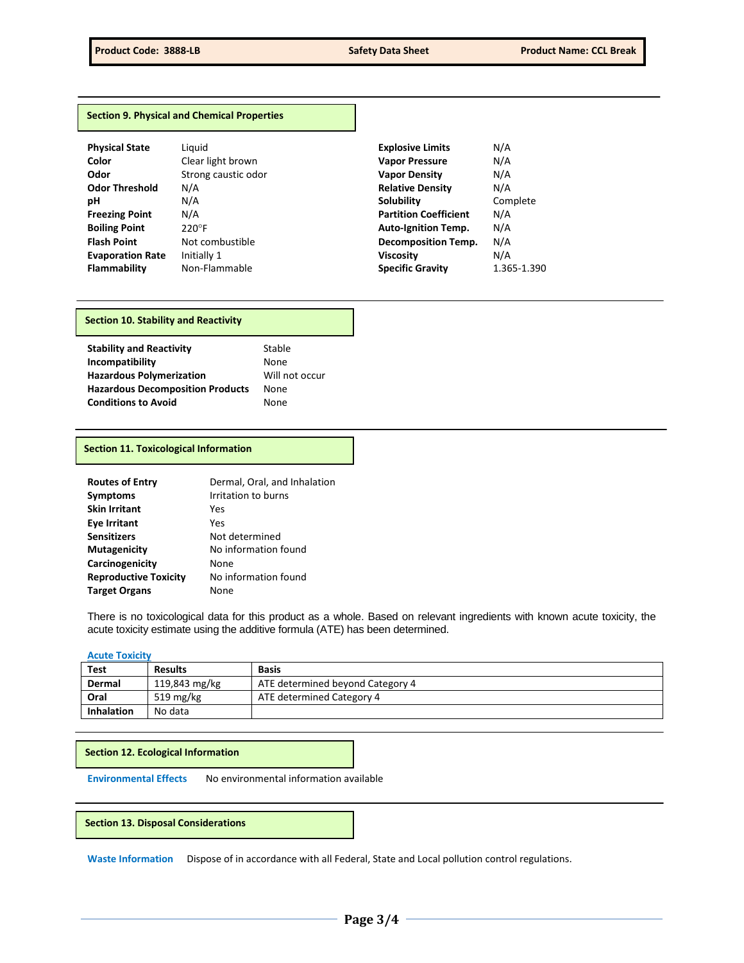### **Section 9. Physical and Chemical Properties**

| <b>Physical State</b>   | Liauid              | <b>Explosive Limits</b>      | N/A  |
|-------------------------|---------------------|------------------------------|------|
| Color                   | Clear light brown   | <b>Vapor Pressure</b>        | N/A  |
| Odor                    | Strong caustic odor | <b>Vapor Density</b>         | N/A  |
| <b>Odor Threshold</b>   | N/A                 | <b>Relative Density</b>      | N/A  |
| рH                      | N/A                 | <b>Solubility</b>            | Con  |
| <b>Freezing Point</b>   | N/A                 | <b>Partition Coefficient</b> | N/A  |
| <b>Boiling Point</b>    | $220^\circ F$       | <b>Auto-Ignition Temp.</b>   | N/A  |
| <b>Flash Point</b>      | Not combustible     | <b>Decomposition Temp.</b>   | N/A  |
| <b>Evaporation Rate</b> | Initially 1         | <b>Viscosity</b>             | N/A  |
| <b>Flammability</b>     | Non-Flammable       | <b>Specific Gravity</b>      | 1.36 |

| Clear light brown  |
|--------------------|
| Strong caustic odo |
| N/A                |
| N/A                |
| N/A                |
| 220°F              |
| Not combustible    |
| Initially 1        |
| Non-Flammable      |

| Physical State          | Liauid              | <b>Explosive Limits</b>      | N/A         |
|-------------------------|---------------------|------------------------------|-------------|
| Color                   | Clear light brown   | <b>Vapor Pressure</b>        | N/A         |
| Odor                    | Strong caustic odor | <b>Vapor Density</b>         | N/A         |
| <b>Odor Threshold</b>   | N/A                 | <b>Relative Density</b>      | N/A         |
| pН                      | N/A                 | Solubility                   | Complete    |
| <b>Freezing Point</b>   | N/A                 | <b>Partition Coefficient</b> | N/A         |
| <b>Boiling Point</b>    | $220^\circ F$       | <b>Auto-Ignition Temp.</b>   | N/A         |
| <b>Flash Point</b>      | Not combustible     | <b>Decomposition Temp.</b>   | N/A         |
| <b>Evaporation Rate</b> | Initially 1         | <b>Viscosity</b>             | N/A         |
| Flammability            | Non-Flammable       | <b>Specific Gravity</b>      | 1.365-1.390 |
|                         |                     |                              |             |

## **Section 10. Stability and Reactivity**

| <b>Stability and Reactivity</b>         | Stable         |
|-----------------------------------------|----------------|
| Incompatibility                         | None           |
| <b>Hazardous Polymerization</b>         | Will not occur |
| <b>Hazardous Decomposition Products</b> | None           |
| <b>Conditions to Avoid</b>              | None           |

#### **Section 11. Toxicological Information**

| <b>Routes of Entry</b>       | Dermal, Oral, and Inhalation |
|------------------------------|------------------------------|
| <b>Symptoms</b>              | Irritation to burns          |
| <b>Skin Irritant</b>         | Yes                          |
| <b>Eye Irritant</b>          | Yes                          |
| <b>Sensitizers</b>           | Not determined               |
| Mutagenicity                 | No information found         |
| Carcinogenicity              | None                         |
| <b>Reproductive Toxicity</b> | No information found         |
| <b>Target Organs</b>         | None                         |

There is no toxicological data for this product as a whole. Based on relevant ingredients with known acute toxicity, the acute toxicity estimate using the additive formula (ATE) has been determined.

## **Acute Toxicity**

| <b>Test</b>       | <b>Results</b> | <b>Basis</b>                     |
|-------------------|----------------|----------------------------------|
| Dermal            | 119,843 mg/kg  | ATE determined beyond Category 4 |
| Oral              | 519 mg/kg      | ATE determined Category 4        |
| <b>Inhalation</b> | No data        |                                  |

## **Section 12. Ecological Information**

**Environmental Effects** No environmental information available

## **Section 13. Disposal Considerations**

**Waste Information** Dispose of in accordance with all Federal, State and Local pollution control regulations.